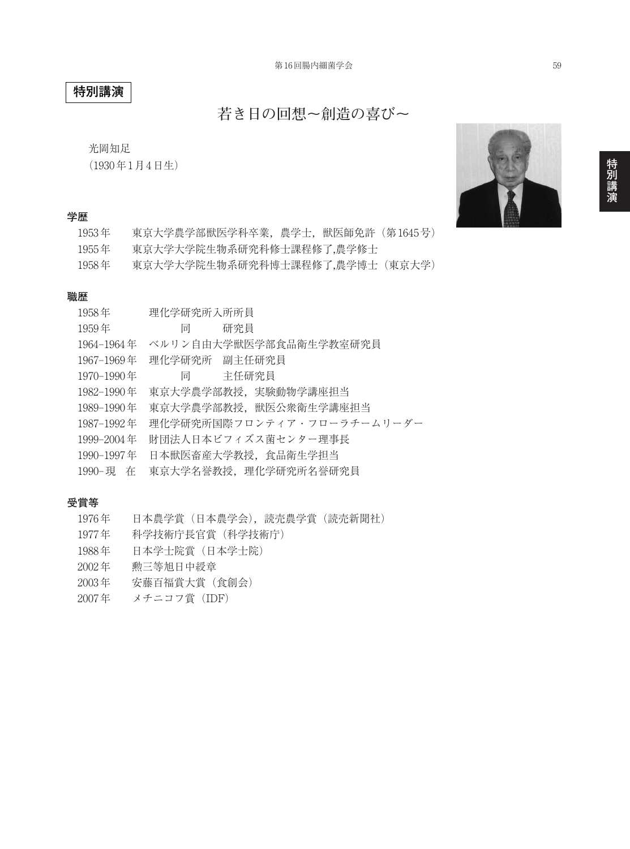# **特別講演**

**若き日の回想~創造の喜び~**

光岡知足

(1930年1月4日生)

#### **学歴**

| 1953年 | 東京大学農学部獣医学科卒業,農学士,獣医師免許(第1645号) |
|-------|---------------------------------|
| 1955年 | 東京大学大学院生物系研究科修士課程修了,農学修士        |
| 1958年 | 東京大学大学院生物系研究科博士課程修了,農学博士(東京大学)  |

#### **職歴**

| 理化学研究所入所所員                 |
|----------------------------|
| 研究員<br>同一                  |
| ベルリン自由大学獣医学部食品衛生学教室研究員     |
| 理化学研究所 副主任研究員              |
| 同   主任研究員                  |
| 東京大学農学部教授, 実験動物学講座担当       |
| 東京大学農学部教授, 獣医公衆衛生学講座担当     |
| 理化学研究所国際フロンティア・フローラチームリーダー |
| 財団法人日本ビフィズス菌センター理事長        |
| 日本獣医畜産大学教授,食品衛生学担当         |
| 東京大学名誉教授, 理化学研究所名誉研究員      |
|                            |

#### **受賞等**

| 1976年              | 日本農学賞(日本農学会),読売農学賞(読売新聞社) |
|--------------------|---------------------------|
| 1977年              | 科学技術庁長官賞(科学技術庁)           |
| 1988年              | 日本学十院賞(日本学十院)             |
| $2002$ 年           | 勲三等旭日中綬章                  |
| $2003 \text{ } \#$ | 安藤百福賞大賞 (食創会)             |
| 2007年              | メチニコフ賞 (IDF)              |



**演**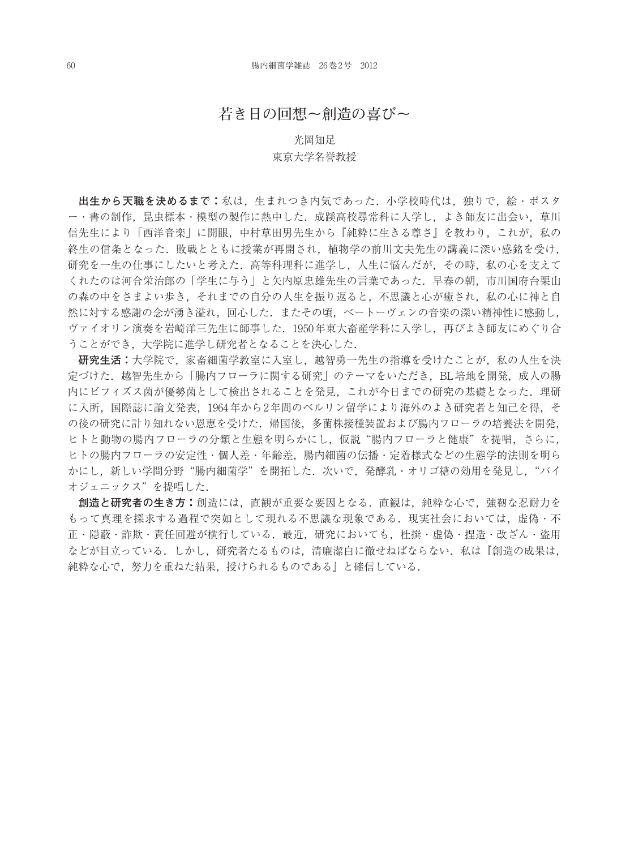## **若き日の回想~創造の喜び~**

### 光岡知足 東京大学名誉教授

**出生から天職を決めるまで:**私は,生まれつき内気であった.小学校時代は,独りで,絵・ポスタ ー・書の制作,昆虫標本・模型の製作に熱中した.成蹊高校尋常科に入学し,よき師友に出会い,草川 信先生により「西洋音楽」に開眼,中村草田男先生から『純粋に生きる尊さ』を教わり,これが,私の 終生の信条となった.敗戦とともに授業が再開され,植物学の前川文夫先生の講義に深い感銘を受け, 研究を一生の仕事にしたいと考えた.高等科理科に進学し,人生に悩んだが,その時,私の心を支えて くれたのは河合栄治郎の「学生に与う」と矢内原忠雄先生の言葉であった.早春の朝,市川国府台栗山 の森の中をさまよい歩き、それまでの自分の人生を振り返ると、不思議と心が癒され、私の心に神と自 然に対する感謝の念が湧き溢れ,回心した.またその頃,べートーヴェンの音楽の深い精神性に感動し, ヴァイオリン演奏を岩崎洋三先生に師事した.1950年東大畜産学科に入学し,再びよき師友にめぐり合 うことができ,大学院に進学し研究者となることを決心した.

**研究生活:**大学院で,家畜細菌学教室に入室し,越智勇一先生の指導を受けたことが,私の人生を決 定づけた.越智先生から「腸内フローラに関する研究」のテーマをいただき,BL培地を開発,成人の腸 内にビフィズス菌が優勢菌として検出されることを発見,これが今日までの研究の基礎となった.理研 に入所,国際誌に論文発表,1964年から2年間のベルリン留学により海外のよき研究者と知己を得,そ の後の研究に計り知れない恩恵を受けた.帰国後,多菌株接種装置および腸内フローラの培養法を開発, ヒトと動物の腸内フローラの分類と生態を明らかにし、仮説"腸内フローラと健康"を提唱,さらに, ヒトの腸内フローラの安定性・個人差・年齢差,腸内細菌の伝播・定着様式などの生態学的法則を明ら かにし、新しい学問分野"腸内細菌学"を開拓した. 次いで、発酵乳・オリゴ糖の効用を発見し, "バイ オジェニックス"を提唱した.

**創造と研究者の生き方:**創造には,直観が重要な要因となる.直観は,純粋な心で,強靭な忍耐力を もって真理を探求する過程で突如として現れる不思議な現象である. 現実社会においては、虚偽・不 正・隠蔽・詐欺・責任回避が横行している.最近,研究においても,杜撰・虚偽・捏造・改ざん・盗用 などが目立っている.しかし、研究者たるものは、清廉潔白に徹せねばならない.私は『創造の成果は, 純粋な心で,努力を重ねた結果,授けられるものである』と確信している.